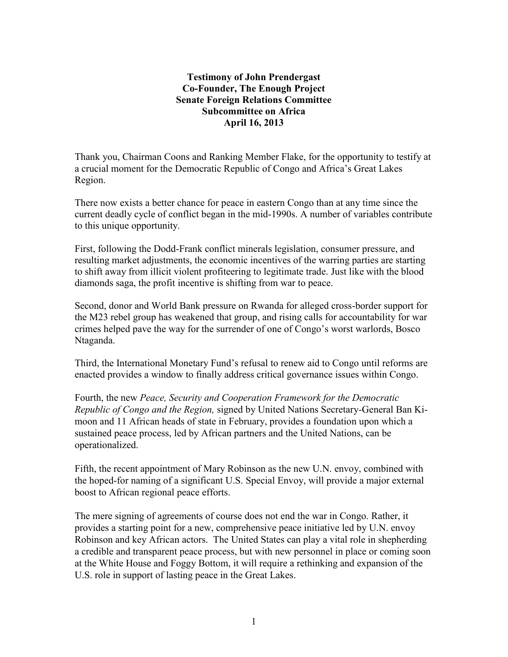# **Testimony of John Prendergast Co-Founder, The Enough Project Senate Foreign Relations Committee Subcommittee on Africa April 16, 2013**

Thank you, Chairman Coons and Ranking Member Flake, for the opportunity to testify at a crucial moment for the Democratic Republic of Congo and Africa's Great Lakes Region.

There now exists a better chance for peace in eastern Congo than at any time since the current deadly cycle of conflict began in the mid-1990s. A number of variables contribute to this unique opportunity.

First, following the Dodd-Frank conflict minerals legislation, consumer pressure, and resulting market adjustments, the economic incentives of the warring parties are starting to shift away from illicit violent profiteering to legitimate trade. Just like with the blood diamonds saga, the profit incentive is shifting from war to peace.

Second, donor and World Bank pressure on Rwanda for alleged cross-border support for the M23 rebel group has weakened that group, and rising calls for accountability for war crimes helped pave the way for the surrender of one of Congo's worst warlords, Bosco Ntaganda.

Third, the International Monetary Fund's refusal to renew aid to Congo until reforms are enacted provides a window to finally address critical governance issues within Congo.

Fourth, the new *Peace, Security and Cooperation Framework for the Democratic Republic of Congo and the Region,* signed by United Nations Secretary-General Ban Kimoon and 11 African heads of state in February, provides a foundation upon which a sustained peace process, led by African partners and the United Nations, can be operationalized.

Fifth, the recent appointment of Mary Robinson as the new U.N. envoy, combined with the hoped-for naming of a significant U.S. Special Envoy, will provide a major external boost to African regional peace efforts.

The mere signing of agreements of course does not end the war in Congo. Rather, it provides a starting point for a new, comprehensive peace initiative led by U.N. envoy Robinson and key African actors. The United States can play a vital role in shepherding a credible and transparent peace process, but with new personnel in place or coming soon at the White House and Foggy Bottom, it will require a rethinking and expansion of the U.S. role in support of lasting peace in the Great Lakes.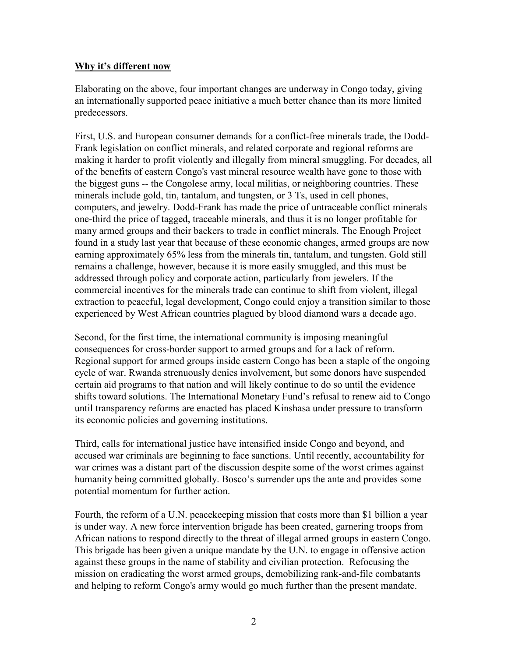## **Why it's different now**

Elaborating on the above, four important changes are underway in Congo today, giving an internationally supported peace initiative a much better chance than its more limited predecessors.

First, U.S. and European [consumer demands for a conflict-free minerals trade,](http://www.raisehopeforcongo.org/content/conflict-minerals-company-rankings) the Dodd-Frank legislation on conflict minerals, and related corporate and regional reforms are making it harder to profit violently and illegally from mineral smuggling. [For decades,](http://web.mit.edu/12.000/www/m2016/pdf/Congo.pdf) all [of the benefits of eastern Congo's vast mineral resource wealth have gone to those with](http://web.mit.edu/12.000/www/m2016/pdf/Congo.pdf)  [the biggest guns](http://web.mit.edu/12.000/www/m2016/pdf/Congo.pdf) -- the Congolese army, local militias, or neighboring countries. These minerals include gold, tin, tantalum, and tungsten, or 3 Ts, used in cell phones, computers, and jewelry. Dodd-Frank has made the price of untraceable conflict minerals one-third the price of tagged, traceable minerals, and thus it is no longer profitable for many armed groups and their backers to trade in conflict minerals. The Enough Project found in a study last year that because of these economic changes, armed groups are now earning approximately 65% less from the minerals tin, tantalum, and tungsten. Gold still remains a challenge, however, because it is more easily smuggled, and this must be addressed through policy and corporate action, particularly from jewelers. If the commercial incentives for the minerals trade can continue to shift from violent, illegal extraction to peaceful, legal development, Congo could enjoy a transition similar to those experienced by West African countries plagued by blood diamond wars a decade ago.

Second, for the first time, the international community is imposing meaningful consequences for cross-border support to armed groups and for a lack of reform. Regional support for armed groups inside eastern Congo has been a staple of the ongoing cycle of war. Rwanda strenuously denies involvement, but some donors have suspended certain aid programs to that nation and will likely continue to do so until the evidence shifts toward solutions. The International Monetary Fund's refusal to renew aid to Congo until transparency reforms are enacted has placed Kinshasa under pressure to transform its economic policies and governing institutions.

Third, calls for international justice have intensified inside Congo and beyond, and accused war criminals are beginning to face sanctions. Until recently, accountability for war crimes was a distant part of the discussion despite some of the worst crimes against humanity being committed globally. Bosco's surrender ups the ante and provides some potential momentum for further action.

Fourth, the reform of a U.N. peacekeeping mission that costs more than \$1 billion a year is under way. A new force intervention brigade has been created, garnering troops from African nations to respond directly to the threat of illegal armed groups in eastern Congo. This brigade has been given a unique mandate by the U.N. to engage in offensive action against these groups in the name of stability and civilian protection. Refocusing the mission on eradicating the worst armed groups, demobilizing rank-and-file combatants and helping to reform Congo's army would go much further than the present mandate.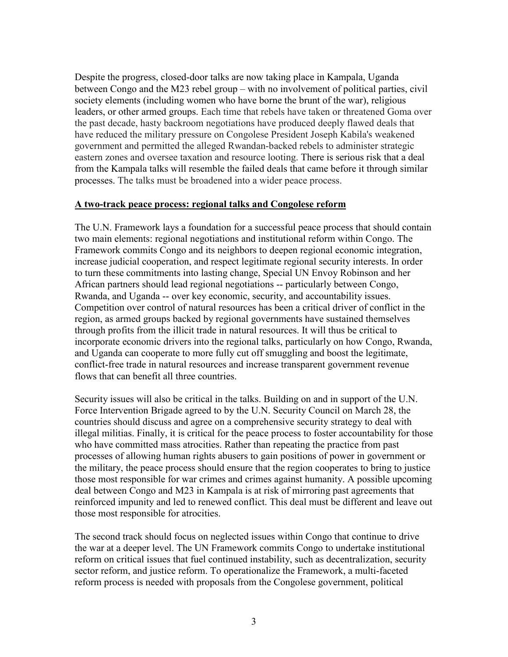Despite the progress, closed-door talks are now taking place in Kampala, Uganda between Congo and the M23 rebel group – with no involvement of political parties, civil society elements (including women who have borne the brunt of the war), religious leaders, or other armed groups. Each time that rebels have taken or threatened Goma over the past decade, hasty backroom negotiations have produced deeply flawed deals that have reduced the military pressure on Congolese President Joseph Kabila's weakened government and permitted the alleged Rwandan-backed rebels to administer strategic eastern zones and oversee taxation and resource looting. There is serious risk that a deal from the Kampala talks will resemble the failed deals that came before it through similar processes. The talks must be broadened into a wider peace process.

#### **A two-track peace process: regional talks and Congolese reform**

The U.N. Framework lays a foundation for a successful peace process that should contain two main elements: regional negotiations and institutional reform within Congo. The Framework commits Congo and its neighbors to deepen regional economic integration, increase judicial cooperation, and respect legitimate regional security interests. In order to turn these commitments into lasting change, Special UN Envoy Robinson and her African partners should lead regional negotiations -- particularly between Congo, Rwanda, and Uganda -- over key economic, security, and accountability issues. Competition over control of natural resources has been a critical driver of conflict in the region, as armed groups backed by regional governments have sustained themselves through profits from the illicit trade in natural resources. It will thus be critical to incorporate economic drivers into the regional talks, particularly on how Congo, Rwanda, and Uganda can cooperate to more fully cut off smuggling and boost the legitimate, conflict-free trade in natural resources and increase transparent government revenue flows that can benefit all three countries.

Security issues will also be critical in the talks. Building on and in support of the U.N. Force Intervention Brigade agreed to by the U.N. Security Council on March 28, the countries should discuss and agree on a comprehensive security strategy to deal with illegal militias. Finally, it is critical for the peace process to foster accountability for those who have committed mass atrocities. Rather than repeating the practice from past processes of allowing human rights abusers to gain positions of power in government or the military, the peace process should ensure that the region cooperates to bring to justice those most responsible for war crimes and crimes against humanity. A possible upcoming deal between Congo and M23 in Kampala is at risk of mirroring past agreements that reinforced impunity and led to renewed conflict. This deal must be different and leave out those most responsible for atrocities.

The second track should focus on neglected issues within Congo that continue to drive the war at a deeper level. The UN Framework commits Congo to undertake institutional reform on critical issues that fuel continued instability, such as decentralization, security sector reform, and justice reform. To operationalize the Framework, a multi-faceted reform process is needed with proposals from the Congolese government, political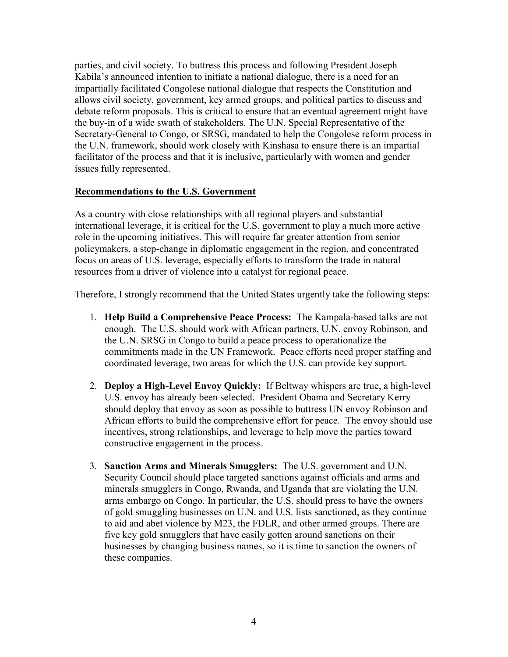parties, and civil society. To buttress this process and following President Joseph Kabila's announced intention to initiate a national dialogue, there is a need for an impartially facilitated Congolese national dialogue that respects the Constitution and allows civil society, government, key armed groups, and political parties to discuss and debate reform proposals. This is critical to ensure that an eventual agreement might have the buy-in of a wide swath of stakeholders. The U.N. Special Representative of the Secretary-General to Congo, or SRSG, mandated to help the Congolese reform process in the U.N. framework, should work closely with Kinshasa to ensure there is an impartial facilitator of the process and that it is inclusive, particularly with women and gender issues fully represented.

## **Recommendations to the U.S. Government**

As a country with close relationships with all regional players and substantial international leverage, it is critical for the U.S. government to play a much more active role in the upcoming initiatives. This will require far greater attention from senior policymakers, a step-change in diplomatic engagement in the region, and concentrated focus on areas of U.S. leverage, especially efforts to transform the trade in natural resources from a driver of violence into a catalyst for regional peace.

Therefore, I strongly recommend that the United States urgently take the following steps:

- 1. **Help Build a Comprehensive Peace Process:** The Kampala-based talks are not enough. The U.S. should work with African partners, U.N. envoy Robinson, and the U.N. SRSG in Congo to build a peace process to operationalize the commitments made in the UN Framework. Peace efforts need proper staffing and coordinated leverage, two areas for which the U.S. can provide key support.
- 2. **Deploy a High-Level Envoy Quickly:** If Beltway whispers are true, a high-level U.S. envoy has already been selected. President Obama and Secretary Kerry should deploy that envoy as soon as possible to buttress UN envoy Robinson and African efforts to build the comprehensive effort for peace. The envoy should use incentives, strong relationships, and leverage to help move the parties toward constructive engagement in the process.
- 3. **Sanction Arms and Minerals Smugglers:** The U.S. government and U.N. Security Council should place targeted sanctions against officials and arms and minerals smugglers in Congo, Rwanda, and Uganda that are violating the U.N. arms embargo on Congo. In particular, the U.S. should press to have the owners of gold smuggling businesses on U.N. and U.S. lists sanctioned, as they continue to aid and abet violence by M23, the FDLR, and other armed groups. There are five key gold smugglers that have easily gotten around sanctions on their businesses by changing business names, so it is time to sanction the owners of these companies.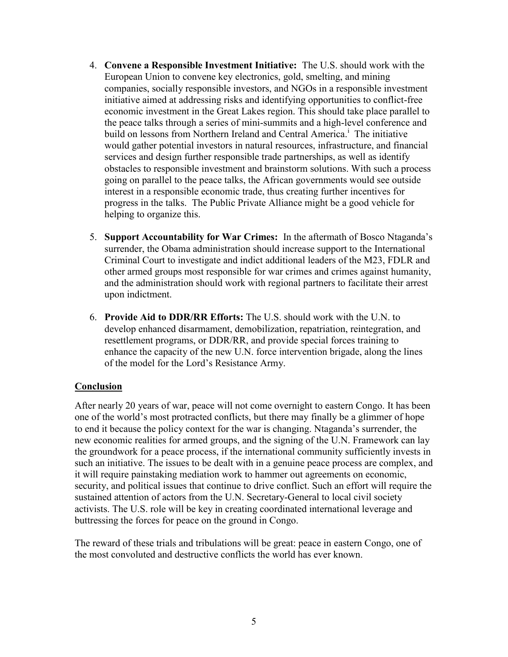- 4. **Convene a Responsible Investment Initiative:** The U.S. should work with the European Union to convene key electronics, gold, smelting, and mining companies, socially responsible investors, and NGOs in a responsible investment initiative aimed at addressing risks and identifying opportunities to conflict-free economic investment in the Great Lakes region. This should take place parallel to the peace talks through a series of mini-summits and a high-level conference and build on lessons from Northern Ireland and Central America.<sup>1</sup> The initiative would gather potential investors in natural resources, infrastructure, and financial services and design further responsible trade partnerships, as well as identify obstacles to responsible investment and brainstorm solutions. With such a process going on parallel to the peace talks, the African governments would see outside interest in a responsible economic trade, thus creating further incentives for progress in the talks. The Public Private Alliance might be a good vehicle for helping to organize this.
- 5. **Support Accountability for War Crimes:** In the aftermath of Bosco Ntaganda's surrender, the Obama administration should increase support to the International Criminal Court to investigate and indict additional leaders of the M23, FDLR and other armed groups most responsible for war crimes and crimes against humanity, and the administration should work with regional partners to facilitate their arrest upon indictment.
- 6. **Provide Aid to DDR/RR Efforts:** The U.S. should work with the U.N. to develop enhanced disarmament, demobilization, repatriation, reintegration, and resettlement programs, or DDR/RR, and provide special forces training to enhance the capacity of the new U.N. force intervention brigade, along the lines of the model for the Lord's Resistance Army.

# **Conclusion**

After nearly 20 years of war, peace will not come overnight to eastern Congo. It has been one of the world's most protracted conflicts, but there may finally be a glimmer of hope to end it because the policy context for the war is changing. Ntaganda's surrender, the new economic realities for armed groups, and the signing of the U.N. Framework can lay the groundwork for a peace process, if the international community sufficiently invests in such an initiative. The issues to be dealt with in a genuine peace process are complex, and it will require painstaking mediation work to hammer out agreements on economic, security, and political issues that continue to drive conflict. Such an effort will require the sustained attention of actors from the U.N. Secretary-General to local civil society activists. The U.S. role will be key in creating coordinated international leverage and buttressing the forces for peace on the ground in Congo.

The reward of these trials and tribulations will be great: peace in eastern Congo, one of the most convoluted and destructive conflicts the world has ever known.